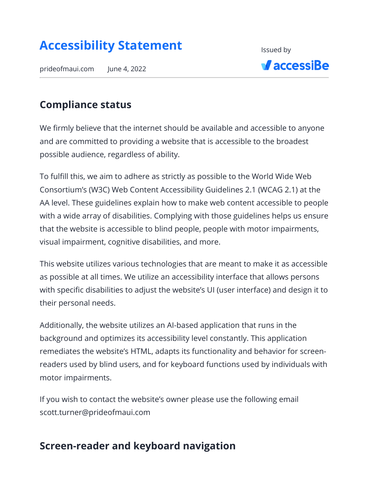# **Accessibility Statement**

prideofmaui.com June 4, 2022



#### **Compliance status**

We firmly believe that the internet should be available and accessible to anyone and are committed to providing a website that is accessible to the broadest possible audience, regardless of ability.

To fulfill this, we aim to adhere as strictly as possible to the World Wide Web Consortium's (W3C) Web Content Accessibility Guidelines 2.1 (WCAG 2.1) at the AA level. These guidelines explain how to make web content accessible to people with a wide array of disabilities. Complying with those guidelines helps us ensure that the website is accessible to blind people, people with motor impairments, visual impairment, cognitive disabilities, and more.

This website utilizes various technologies that are meant to make it as accessible as possible at all times. We utilize an accessibility interface that allows persons with specific disabilities to adjust the website's UI (user interface) and design it to their personal needs.

Additionally, the website utilizes an AI-based application that runs in the background and optimizes its accessibility level constantly. This application remediates the website's HTML, adapts its functionality and behavior for screenreaders used by blind users, and for keyboard functions used by individuals with motor impairments.

If you wish to contact the website's owner please use the following email scott.turner@prideofmaui.com

#### **Screen-reader and keyboard navigation**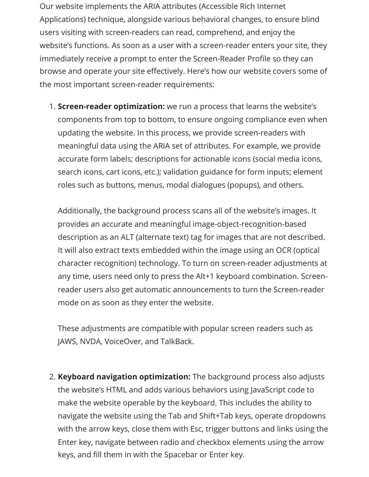Our website implements the ARIA attributes (Accessible Rich Internet Applications) technique, alongside various behavioral changes, to ensure blind users visiting with screen-readers can read, comprehend, and enjoy the website's functions. As soon as a user with a screen-reader enters your site, they immediately receive a prompt to enter the Screen-Reader Profile so they can browse and operate your site effectively. Here's how our website covers some of the most important screen-reader requirements:

1. **Screen-reader optimization:** we run a process that learns the website's components from top to bottom, to ensure ongoing compliance even when updating the website. In this process, we provide screen-readers with meaningful data using the ARIA set of attributes. For example, we provide accurate form labels; descriptions for actionable icons (social media icons, search icons, cart icons, etc.); validation guidance for form inputs; element roles such as buttons, menus, modal dialogues (popups), and others.

Additionally, the background process scans all of the website's images. It provides an accurate and meaningful image-object-recognition-based description as an ALT (alternate text) tag for images that are not described. It will also extract texts embedded within the image using an OCR (optical character recognition) technology. To turn on screen-reader adjustments at any time, users need only to press the Alt+1 keyboard combination. Screenreader users also get automatic announcements to turn the Screen-reader mode on as soon as they enter the website.

These adjustments are compatible with popular screen readers such as JAWS, NVDA, VoiceOver, and TalkBack.

2. **Keyboard navigation optimization:** The background process also adjusts the website's HTML and adds various behaviors using JavaScript code to make the website operable by the keyboard. This includes the ability to navigate the website using the Tab and Shift+Tab keys, operate dropdowns with the arrow keys, close them with Esc, trigger buttons and links using the Enter key, navigate between radio and checkbox elements using the arrow keys, and fill them in with the Spacebar or Enter key.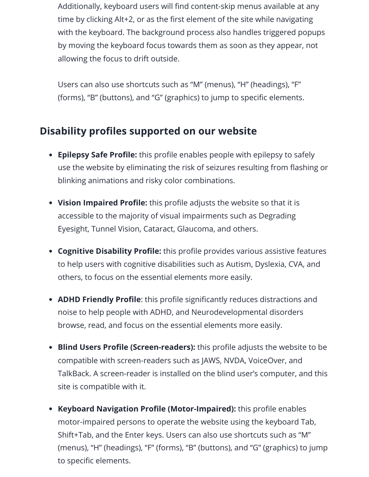Additionally, keyboard users will find content-skip menus available at any time by clicking Alt+2, or as the first element of the site while navigating with the keyboard. The background process also handles triggered popups by moving the keyboard focus towards them as soon as they appear, not allowing the focus to drift outside.

Users can also use shortcuts such as "M" (menus), "H" (headings), "F" (forms), "B" (buttons), and "G" (graphics) to jump to specific elements.

## **Disability profiles supported on our website**

- **Epilepsy Safe Profile:** this profile enables people with epilepsy to safely use the website by eliminating the risk of seizures resulting from flashing or blinking animations and risky color combinations.
- **Vision Impaired Profile:** this profile adjusts the website so that it is accessible to the majority of visual impairments such as Degrading Eyesight, Tunnel Vision, Cataract, Glaucoma, and others.
- **Cognitive Disability Profile:** this profile provides various assistive features to help users with cognitive disabilities such as Autism, Dyslexia, CVA, and others, to focus on the essential elements more easily.
- **ADHD Friendly Profile**: this profile significantly reduces distractions and noise to help people with ADHD, and Neurodevelopmental disorders browse, read, and focus on the essential elements more easily.
- **Blind Users Profile (Screen-readers):** this profile adjusts the website to be compatible with screen-readers such as JAWS, NVDA, VoiceOver, and TalkBack. A screen-reader is installed on the blind user's computer, and this site is compatible with it.
- **Keyboard Navigation Profile (Motor-Impaired):** this profile enables motor-impaired persons to operate the website using the keyboard Tab, Shift+Tab, and the Enter keys. Users can also use shortcuts such as "M" (menus), "H" (headings), "F" (forms), "B" (buttons), and "G" (graphics) to jump to specific elements.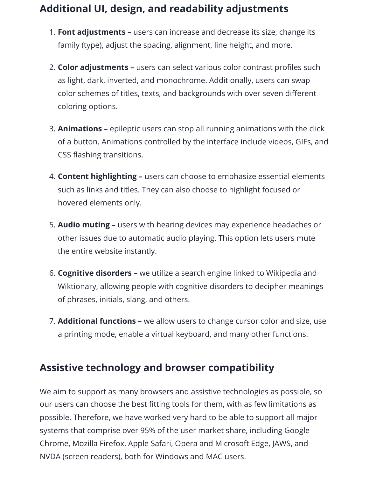## **Additional UI, design, and readability adjustments**

- 1. **Font adjustments –** users can increase and decrease its size, change its family (type), adjust the spacing, alignment, line height, and more.
- 2. **Color adjustments –** users can select various color contrast profiles such as light, dark, inverted, and monochrome. Additionally, users can swap color schemes of titles, texts, and backgrounds with over seven different coloring options.
- 3. **Animations –** epileptic users can stop all running animations with the click of a button. Animations controlled by the interface include videos, GIFs, and CSS flashing transitions.
- 4. **Content highlighting –** users can choose to emphasize essential elements such as links and titles. They can also choose to highlight focused or hovered elements only.
- 5. **Audio muting –** users with hearing devices may experience headaches or other issues due to automatic audio playing. This option lets users mute the entire website instantly.
- 6. **Cognitive disorders –** we utilize a search engine linked to Wikipedia and Wiktionary, allowing people with cognitive disorders to decipher meanings of phrases, initials, slang, and others.
- 7. **Additional functions –** we allow users to change cursor color and size, use a printing mode, enable a virtual keyboard, and many other functions.

## **Assistive technology and browser compatibility**

We aim to support as many browsers and assistive technologies as possible, so our users can choose the best fitting tools for them, with as few limitations as possible. Therefore, we have worked very hard to be able to support all major systems that comprise over 95% of the user market share, including Google Chrome, Mozilla Firefox, Apple Safari, Opera and Microsoft Edge, JAWS, and NVDA (screen readers), both for Windows and MAC users.